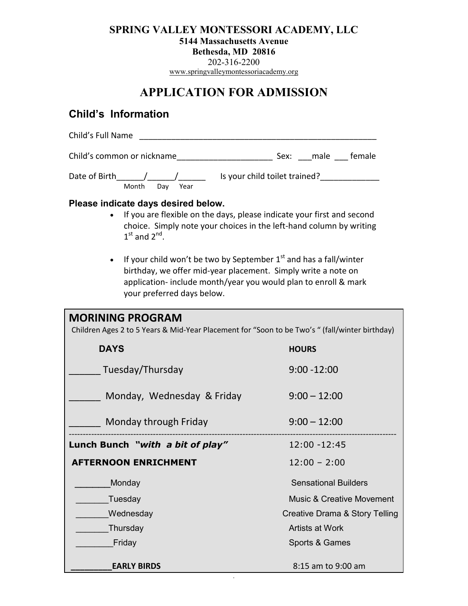## **SPRING VALLEY MONTESSORI ACADEMY, LLC**

**5144 Massachusetts Avenue**

**Bethesda, MD 20816**

202-316-2200

[www.springvalleymontessoriacademy.org](http://www.springvalleymontessoriacademy.org/)

## **APPLICATION FOR ADMISSION**

## **Child's Information**

| Child's Full Name                                                                                                                                                                                                                                                                                                                                                                                                                                  |                                      |
|----------------------------------------------------------------------------------------------------------------------------------------------------------------------------------------------------------------------------------------------------------------------------------------------------------------------------------------------------------------------------------------------------------------------------------------------------|--------------------------------------|
|                                                                                                                                                                                                                                                                                                                                                                                                                                                    |                                      |
| Month<br>Day Year                                                                                                                                                                                                                                                                                                                                                                                                                                  |                                      |
| Please indicate days desired below.<br>If you are flexible on the days, please indicate your first and second<br>choice. Simply note your choices in the left-hand column by writing<br>$1st$ and $2nd$ .<br>If your child won't be two by September $1st$ and has a fall/winter<br>birthday, we offer mid-year placement. Simply write a note on<br>application- include month/year you would plan to enroll & mark<br>your preferred days below. |                                      |
| <b>MORINING PROGRAM</b><br>Children Ages 2 to 5 Years & Mid-Year Placement for "Soon to be Two's " (fall/winter birthday)                                                                                                                                                                                                                                                                                                                          |                                      |
| <b>DAYS</b>                                                                                                                                                                                                                                                                                                                                                                                                                                        | <b>HOURS</b>                         |
| Tuesday/Thursday                                                                                                                                                                                                                                                                                                                                                                                                                                   | $9:00 - 12:00$                       |
| Monday, Wednesday & Friday                                                                                                                                                                                                                                                                                                                                                                                                                         | $9:00 - 12:00$                       |
| Monday through Friday                                                                                                                                                                                                                                                                                                                                                                                                                              | $9:00 - 12:00$                       |
| Lunch Bunch "with a bit of play"                                                                                                                                                                                                                                                                                                                                                                                                                   | 12:00 - 12:45                        |
| <b>AFTERNOON ENRICHMENT</b>                                                                                                                                                                                                                                                                                                                                                                                                                        | $12:00 - 2:00$                       |
| Monday                                                                                                                                                                                                                                                                                                                                                                                                                                             | <b>Sensational Builders</b>          |
| Tuesday                                                                                                                                                                                                                                                                                                                                                                                                                                            | <b>Music &amp; Creative Movement</b> |
| Wednesday                                                                                                                                                                                                                                                                                                                                                                                                                                          | Creative Drama & Story Telling       |
| Thursday                                                                                                                                                                                                                                                                                                                                                                                                                                           | Artists at Work                      |
| Friday                                                                                                                                                                                                                                                                                                                                                                                                                                             | Sports & Games                       |
| <b>EARLY BIRDS</b>                                                                                                                                                                                                                                                                                                                                                                                                                                 | 8:15 am to 9:00 am                   |